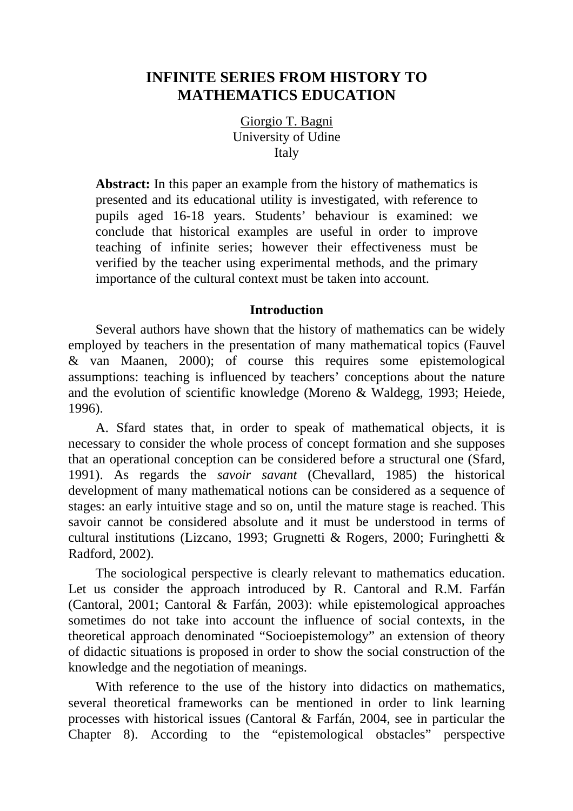# **INFINITE SERIES FROM HISTORY TO MATHEMATICS EDUCATION**

Giorgio T. Bagni University of Udine Italy

**Abstract:** In this paper an example from the history of mathematics is presented and its educational utility is investigated, with reference to pupils aged 16-18 years. Students' behaviour is examined: we conclude that historical examples are useful in order to improve teaching of infinite series; however their effectiveness must be verified by the teacher using experimental methods, and the primary importance of the cultural context must be taken into account.

## **Introduction**

Several authors have shown that the history of mathematics can be widely employed by teachers in the presentation of many mathematical topics (Fauvel & van Maanen, 2000); of course this requires some epistemological assumptions: teaching is influenced by teachers' conceptions about the nature and the evolution of scientific knowledge (Moreno & Waldegg, 1993; Heiede, 1996).

A. Sfard states that, in order to speak of mathematical objects, it is necessary to consider the whole process of concept formation and she supposes that an operational conception can be considered before a structural one (Sfard, 1991). As regards the *savoir savant* (Chevallard, 1985) the historical development of many mathematical notions can be considered as a sequence of stages: an early intuitive stage and so on, until the mature stage is reached. This savoir cannot be considered absolute and it must be understood in terms of cultural institutions (Lizcano, 1993; Grugnetti & Rogers, 2000; Furinghetti & Radford, 2002).

The sociological perspective is clearly relevant to mathematics education. Let us consider the approach introduced by R. Cantoral and R.M. Farfán (Cantoral, 2001; Cantoral & Farfán, 2003): while epistemological approaches sometimes do not take into account the influence of social contexts, in the theoretical approach denominated "Socioepistemology" an extension of theory of didactic situations is proposed in order to show the social construction of the knowledge and the negotiation of meanings.

With reference to the use of the history into didactics on mathematics, several theoretical frameworks can be mentioned in order to link learning processes with historical issues (Cantoral & Farfán, 2004, see in particular the Chapter 8). According to the "epistemological obstacles" perspective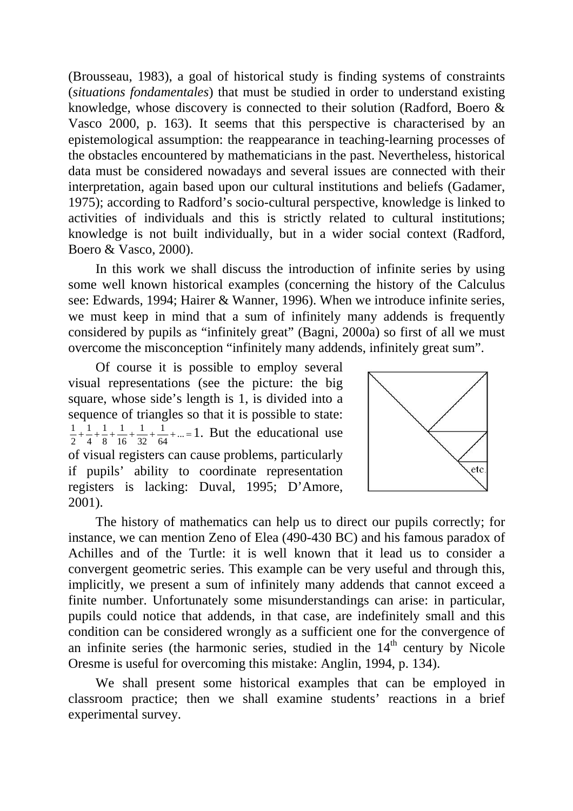(Brousseau, 1983), a goal of historical study is finding systems of constraints (*situations fondamentales*) that must be studied in order to understand existing knowledge, whose discovery is connected to their solution (Radford, Boero & Vasco 2000, p. 163). It seems that this perspective is characterised by an epistemological assumption: the reappearance in teaching-learning processes of the obstacles encountered by mathematicians in the past. Nevertheless, historical data must be considered nowadays and several issues are connected with their interpretation, again based upon our cultural institutions and beliefs (Gadamer, 1975); according to Radford's socio-cultural perspective, knowledge is linked to activities of individuals and this is strictly related to cultural institutions; knowledge is not built individually, but in a wider social context (Radford, Boero & Vasco, 2000).

In this work we shall discuss the introduction of infinite series by using some well known historical examples (concerning the history of the Calculus see: Edwards, 1994; Hairer & Wanner, 1996). When we introduce infinite series, we must keep in mind that a sum of infinitely many addends is frequently considered by pupils as "infinitely great" (Bagni, 2000a) so first of all we must overcome the misconception "infinitely many addends, infinitely great sum".

Of course it is possible to employ several visual representations (see the picture: the big square, whose side's length is 1, is divided into a sequence of triangles so that it is possible to state:  $+\frac{1}{4}+\frac{1}{8}+\frac{1}{16}+\frac{1}{32}+\frac{1}{64}+...=$ 32 1 16 1 8 1 4 1  $\frac{1}{2} + \frac{1}{4} + \frac{1}{8} + \frac{1}{16} + \frac{1}{32} + \frac{1}{64} + \dots = 1$ . But the educational use of visual registers can cause problems, particularly if pupils' ability to coordinate representation registers is lacking: Duval, 1995; D'Amore, 2001).



The history of mathematics can help us to direct our pupils correctly; for instance, we can mention Zeno of Elea (490-430 BC) and his famous paradox of Achilles and of the Turtle: it is well known that it lead us to consider a convergent geometric series. This example can be very useful and through this, implicitly, we present a sum of infinitely many addends that cannot exceed a finite number. Unfortunately some misunderstandings can arise: in particular, pupils could notice that addends, in that case, are indefinitely small and this condition can be considered wrongly as a sufficient one for the convergence of an infinite series (the harmonic series, studied in the  $14<sup>th</sup>$  century by Nicole Oresme is useful for overcoming this mistake: Anglin, 1994, p. 134).

We shall present some historical examples that can be employed in classroom practice; then we shall examine students' reactions in a brief experimental survey.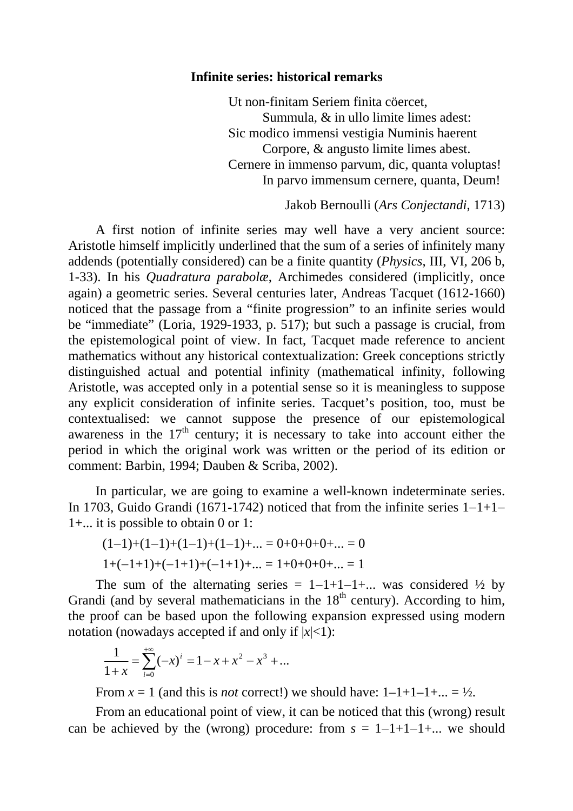### **Infinite series: historical remarks**

 Ut non-finitam Seriem finita cöercet, Summula, & in ullo limite limes adest: Sic modico immensi vestigia Numinis haerent Corpore, & angusto limite limes abest. Cernere in immenso parvum, dic, quanta voluptas! In parvo immensum cernere, quanta, Deum!

Jakob Bernoulli (*Ars Conjectandi*, 1713)

A first notion of infinite series may well have a very ancient source: Aristotle himself implicitly underlined that the sum of a series of infinitely many addends (potentially considered) can be a finite quantity (*Physics*, III, VI, 206 b, 1-33). In his *Quadratura parabolæ*, Archimedes considered (implicitly, once again) a geometric series. Several centuries later, Andreas Tacquet (1612-1660) noticed that the passage from a "finite progression" to an infinite series would be "immediate" (Loria, 1929-1933, p. 517); but such a passage is crucial, from the epistemological point of view. In fact, Tacquet made reference to ancient mathematics without any historical contextualization: Greek conceptions strictly distinguished actual and potential infinity (mathematical infinity, following Aristotle, was accepted only in a potential sense so it is meaningless to suppose any explicit consideration of infinite series. Tacquet's position, too, must be contextualised: we cannot suppose the presence of our epistemological awareness in the  $17<sup>th</sup>$  century; it is necessary to take into account either the period in which the original work was written or the period of its edition or comment: Barbin, 1994; Dauben & Scriba, 2002).

In particular, we are going to examine a well-known indeterminate series. In 1703, Guido Grandi (1671-1742) noticed that from the infinite series 1−1+1− 1+... it is possible to obtain 0 or 1:

$$
(1-1)+(1-1)+(1-1)+(1-1)+... = 0+0+0+0+... = 0
$$
  

$$
1+(-1+1)+(-1+1)+(-1+1)+... = 1+0+0+0+... = 1
$$

The sum of the alternating series =  $1-1+1-1+...$  was considered  $\frac{1}{2}$  by Grandi (and by several mathematicians in the  $18<sup>th</sup>$  century). According to him, the proof can be based upon the following expansion expressed using modern notation (nowadays accepted if and only if  $|x| < 1$ ):

$$
\frac{1}{1+x} = \sum_{i=0}^{+\infty} (-x)^i = 1 - x + x^2 - x^3 + \dots
$$

From  $x = 1$  (and this is *not* correct!) we should have:  $1-1+1-1+\dots = \frac{1}{2}$ .

From an educational point of view, it can be noticed that this (wrong) result can be achieved by the (wrong) procedure: from *s* = 1−1+1−1+... we should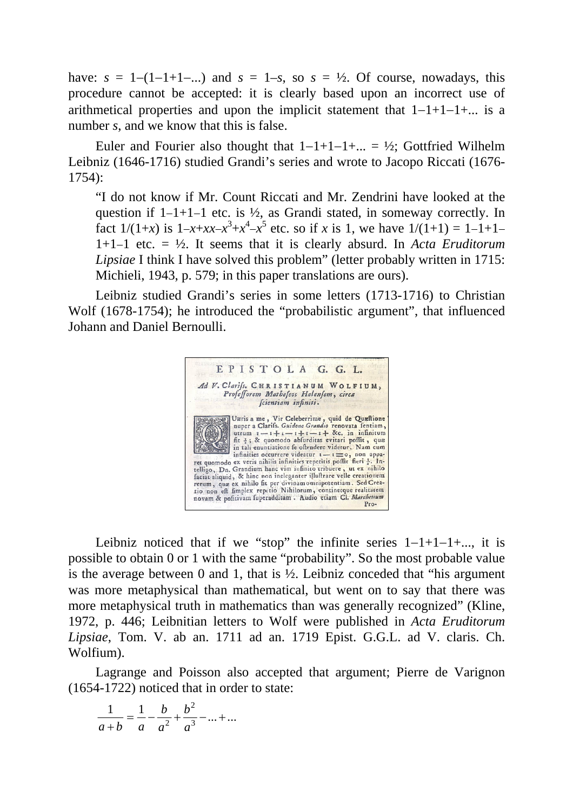have:  $s = 1-(1-1+1-...)$  and  $s = 1-s$ , so  $s = \frac{1}{2}$ . Of course, nowadays, this procedure cannot be accepted: it is clearly based upon an incorrect use of arithmetical properties and upon the implicit statement that 1−1+1−1+... is a number *s*, and we know that this is false.

Euler and Fourier also thought that  $1-1+1-1+... = \frac{1}{2}$ ; Gottfried Wilhelm Leibniz (1646-1716) studied Grandi's series and wrote to Jacopo Riccati (1676- 1754):

"I do not know if Mr. Count Riccati and Mr. Zendrini have looked at the question if 1−1+1−1 etc. is ½, as Grandi stated, in someway correctly. In fact  $1/(1+x)$  is  $1-x+xx-x^3+x^4-x^5$  etc. so if *x* is 1, we have  $1/(1+1) = 1-1+1-$ 1+1−1 etc. = ½. It seems that it is clearly absurd. In *Acta Eruditorum Lipsiae* I think I have solved this problem" (letter probably written in 1715: Michieli, 1943, p. 579; in this paper translations are ours).

Leibniz studied Grandi's series in some letters (1713-1716) to Christian Wolf (1678-1754); he introduced the "probabilistic argument", that influenced Johann and Daniel Bernoulli.



Leibniz noticed that if we "stop" the infinite series  $1-1+1-1+...$ , it is possible to obtain 0 or 1 with the same "probability". So the most probable value is the average between 0 and 1, that is  $\frac{1}{2}$ . Leibniz conceded that "his argument" was more metaphysical than mathematical, but went on to say that there was more metaphysical truth in mathematics than was generally recognized" (Kline, 1972, p. 446; Leibnitian letters to Wolf were published in *Acta Eruditorum Lipsiae*, Tom. V. ab an. 1711 ad an. 1719 Epist. G.G.L. ad V. claris. Ch. Wolfium).

Lagrange and Poisson also accepted that argument; Pierre de Varignon (1654-1722) noticed that in order to state:

$$
\frac{1}{a+b} = \frac{1}{a} - \frac{b}{a^2} + \frac{b^2}{a^3} - \dots + \dots
$$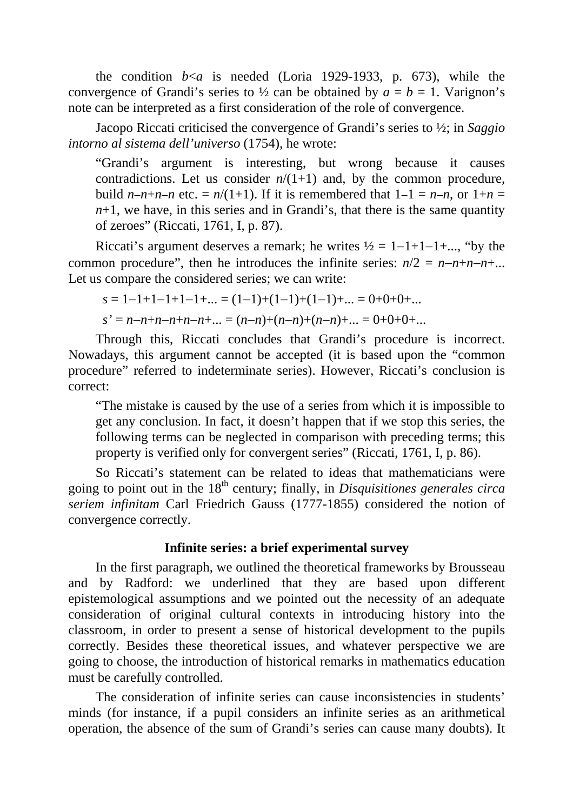the condition  $b \le a$  is needed (Loria 1929-1933, p. 673), while the convergence of Grandi's series to  $\frac{1}{2}$  can be obtained by  $a = b = 1$ . Varignon's note can be interpreted as a first consideration of the role of convergence.

Jacopo Riccati criticised the convergence of Grandi's series to ½; in *Saggio intorno al sistema dell'universo* (1754), he wrote:

"Grandi's argument is interesting, but wrong because it causes contradictions. Let us consider  $n/(1+1)$  and, by the common procedure, build *n*−*n*+*n*−*n* etc. =  $n/(1+1)$ . If it is remembered that  $1-1 = n-n$ , or  $1+n =$  $n+1$ , we have, in this series and in Grandi's, that there is the same quantity of zeroes" (Riccati, 1761, I, p. 87).

Riccati's argument deserves a remark; he writes  $\frac{1}{2} = 1 - 1 + 1 - 1 + ...$ , "by the common procedure", then he introduces the infinite series:  $n/2 = n-n+n-n+...$ Let us compare the considered series; we can write:

$$
s = 1 - 1 + 1 - 1 + 1 - 1 + \dots = (1 - 1) + (1 - 1) + (1 - 1) + \dots = 0 + 0 + 0 + \dots
$$
  
\n
$$
s' = n - n + n - n + n - n + \dots = (n - n) + (n - n) + (n - n) + \dots = 0 + 0 + 0 + \dots
$$

Through this, Riccati concludes that Grandi's procedure is incorrect. Nowadays, this argument cannot be accepted (it is based upon the "common procedure" referred to indeterminate series). However, Riccati's conclusion is correct:

"The mistake is caused by the use of a series from which it is impossible to get any conclusion. In fact, it doesn't happen that if we stop this series, the following terms can be neglected in comparison with preceding terms; this property is verified only for convergent series" (Riccati, 1761, I, p. 86).

So Riccati's statement can be related to ideas that mathematicians were going to point out in the 18th century; finally, in *Disquisitiones generales circa seriem infinitam* Carl Friedrich Gauss (1777-1855) considered the notion of convergence correctly.

## **Infinite series: a brief experimental survey**

In the first paragraph, we outlined the theoretical frameworks by Brousseau and by Radford: we underlined that they are based upon different epistemological assumptions and we pointed out the necessity of an adequate consideration of original cultural contexts in introducing history into the classroom, in order to present a sense of historical development to the pupils correctly. Besides these theoretical issues, and whatever perspective we are going to choose, the introduction of historical remarks in mathematics education must be carefully controlled.

The consideration of infinite series can cause inconsistencies in students' minds (for instance, if a pupil considers an infinite series as an arithmetical operation, the absence of the sum of Grandi's series can cause many doubts). It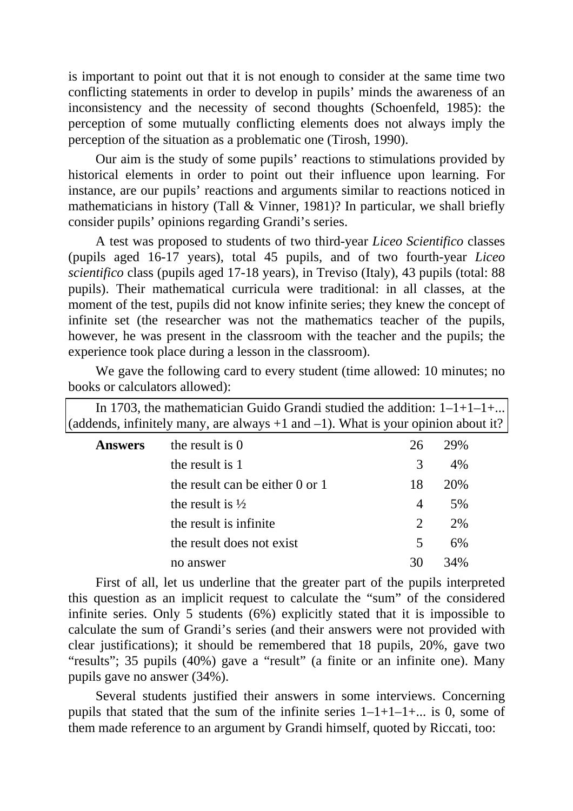is important to point out that it is not enough to consider at the same time two conflicting statements in order to develop in pupils' minds the awareness of an inconsistency and the necessity of second thoughts (Schoenfeld, 1985): the perception of some mutually conflicting elements does not always imply the perception of the situation as a problematic one (Tirosh, 1990).

Our aim is the study of some pupils' reactions to stimulations provided by historical elements in order to point out their influence upon learning. For instance, are our pupils' reactions and arguments similar to reactions noticed in mathematicians in history (Tall & Vinner, 1981)? In particular, we shall briefly consider pupils' opinions regarding Grandi's series.

A test was proposed to students of two third-year *Liceo Scientifico* classes (pupils aged 16-17 years), total 45 pupils, and of two fourth-year *Liceo scientifico* class (pupils aged 17-18 years), in Treviso (Italy), 43 pupils (total: 88 pupils). Their mathematical curricula were traditional: in all classes, at the moment of the test, pupils did not know infinite series; they knew the concept of infinite set (the researcher was not the mathematics teacher of the pupils, however, he was present in the classroom with the teacher and the pupils; the experience took place during a lesson in the classroom).

We gave the following card to every student (time allowed: 10 minutes; no books or calculators allowed):

|                                                                                       | In 1703, the mathematician Guido Grandi studied the addition: $1-1+1-1+$ |    |     |  |
|---------------------------------------------------------------------------------------|--------------------------------------------------------------------------|----|-----|--|
| (addends, infinitely many, are always $+1$ and $-1$ ). What is your opinion about it? |                                                                          |    |     |  |
| <b>Answers</b>                                                                        | the result is 0                                                          | 26 | 29% |  |
|                                                                                       | the result is 1                                                          | 3  | 4%  |  |
|                                                                                       | the result can be either $0$ or $1$                                      | 18 | 20% |  |
|                                                                                       | the result is $\frac{1}{2}$                                              | 4  | 5%  |  |
|                                                                                       | the result is infinite                                                   | 2  | 2%  |  |
|                                                                                       | the result does not exist                                                | 5  | 6%  |  |
|                                                                                       | no answer                                                                | 30 | 34% |  |

First of all, let us underline that the greater part of the pupils interpreted this question as an implicit request to calculate the "sum" of the considered infinite series. Only 5 students (6%) explicitly stated that it is impossible to calculate the sum of Grandi's series (and their answers were not provided with clear justifications); it should be remembered that 18 pupils, 20%, gave two "results"; 35 pupils (40%) gave a "result" (a finite or an infinite one). Many pupils gave no answer (34%).

Several students justified their answers in some interviews. Concerning pupils that stated that the sum of the infinite series  $1-1+1-1+...$  is 0, some of them made reference to an argument by Grandi himself, quoted by Riccati, too: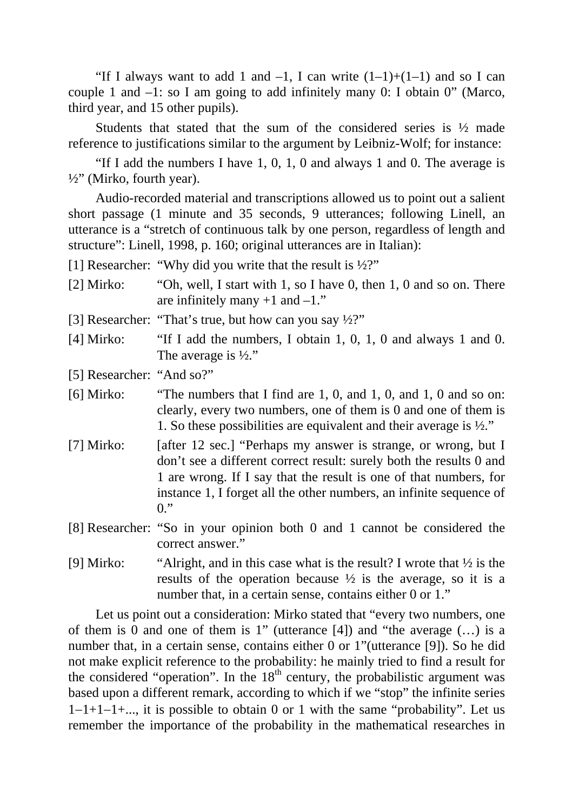"If I always want to add 1 and  $-1$ , I can write  $(1-1)+(1-1)$  and so I can couple 1 and  $-1$ : so I am going to add infinitely many 0: I obtain 0" (Marco, third year, and 15 other pupils).

Students that stated that the sum of the considered series is ½ made reference to justifications similar to the argument by Leibniz-Wolf; for instance:

"If I add the numbers I have  $1, 0, 1, 0$  and always 1 and 0. The average is  $\frac{1}{2}$ " (Mirko, fourth year).

Audio-recorded material and transcriptions allowed us to point out a salient short passage (1 minute and 35 seconds, 9 utterances; following Linell, an utterance is a "stretch of continuous talk by one person, regardless of length and structure": Linell, 1998, p. 160; original utterances are in Italian):

[1] Researcher: "Why did you write that the result is ½?"

- [2] Mirko: "Oh, well, I start with 1, so I have 0, then 1, 0 and so on. There are infinitely many  $+1$  and  $-1$ ."
- [3] Researcher: "That's true, but how can you say  $\frac{1}{2}$ ?"
- [4] Mirko: "If I add the numbers, I obtain 1, 0, 1, 0 and always 1 and 0. The average is  $\frac{1}{2}$ ."

[5] Researcher: "And so?"

- [6] Mirko: "The numbers that I find are 1, 0, and 1, 0, and 1, 0 and so on: clearly, every two numbers, one of them is 0 and one of them is 1. So these possibilities are equivalent and their average is ½."
- [7] Mirko: [after 12 sec.] "Perhaps my answer is strange, or wrong, but I don't see a different correct result: surely both the results 0 and 1 are wrong. If I say that the result is one of that numbers, for instance 1, I forget all the other numbers, an infinite sequence of  $0.$ "
- [8] Researcher: "So in your opinion both 0 and 1 cannot be considered the correct answer."
- [9] Mirko: "Alright, and in this case what is the result? I wrote that  $\frac{1}{2}$  is the results of the operation because  $\frac{1}{2}$  is the average, so it is a number that, in a certain sense, contains either 0 or 1."

Let us point out a consideration: Mirko stated that "every two numbers, one of them is 0 and one of them is 1" (utterance [4]) and "the average (…) is a number that, in a certain sense, contains either 0 or 1"(utterance [9]). So he did not make explicit reference to the probability: he mainly tried to find a result for the considered "operation". In the  $18<sup>th</sup>$  century, the probabilistic argument was based upon a different remark, according to which if we "stop" the infinite series 1−1+1−1+..., it is possible to obtain 0 or 1 with the same "probability". Let us remember the importance of the probability in the mathematical researches in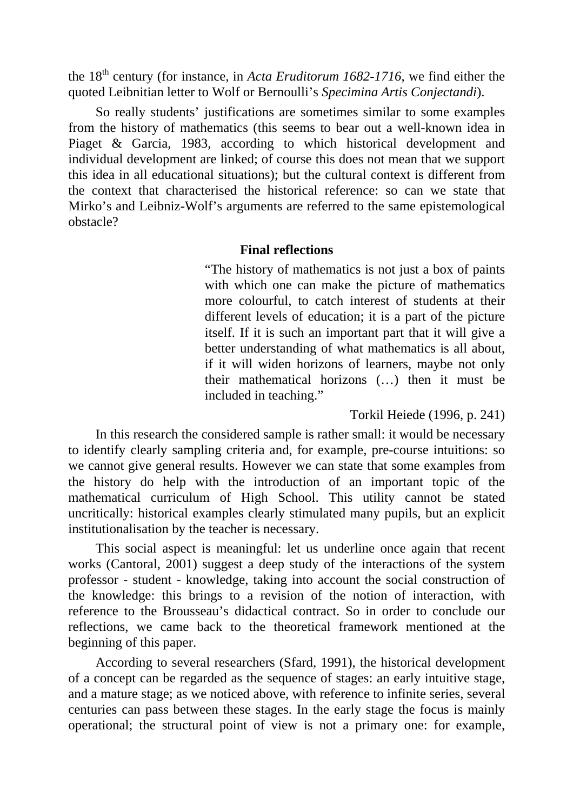the 18th century (for instance, in *Acta Eruditorum 1682-1716*, we find either the quoted Leibnitian letter to Wolf or Bernoulli's *Specimina Artis Conjectandi*).

So really students' justifications are sometimes similar to some examples from the history of mathematics (this seems to bear out a well-known idea in Piaget & Garcia, 1983, according to which historical development and individual development are linked; of course this does not mean that we support this idea in all educational situations); but the cultural context is different from the context that characterised the historical reference: so can we state that Mirko's and Leibniz-Wolf's arguments are referred to the same epistemological obstacle?

## **Final reflections**

"The history of mathematics is not just a box of paints with which one can make the picture of mathematics more colourful, to catch interest of students at their different levels of education; it is a part of the picture itself. If it is such an important part that it will give a better understanding of what mathematics is all about, if it will widen horizons of learners, maybe not only their mathematical horizons (…) then it must be included in teaching."

Torkil Heiede (1996, p. 241)

In this research the considered sample is rather small: it would be necessary to identify clearly sampling criteria and, for example, pre-course intuitions: so we cannot give general results. However we can state that some examples from the history do help with the introduction of an important topic of the mathematical curriculum of High School. This utility cannot be stated uncritically: historical examples clearly stimulated many pupils, but an explicit institutionalisation by the teacher is necessary.

This social aspect is meaningful: let us underline once again that recent works (Cantoral, 2001) suggest a deep study of the interactions of the system professor - student - knowledge, taking into account the social construction of the knowledge: this brings to a revision of the notion of interaction, with reference to the Brousseau's didactical contract. So in order to conclude our reflections, we came back to the theoretical framework mentioned at the beginning of this paper.

According to several researchers (Sfard, 1991), the historical development of a concept can be regarded as the sequence of stages: an early intuitive stage, and a mature stage; as we noticed above, with reference to infinite series, several centuries can pass between these stages. In the early stage the focus is mainly operational; the structural point of view is not a primary one: for example,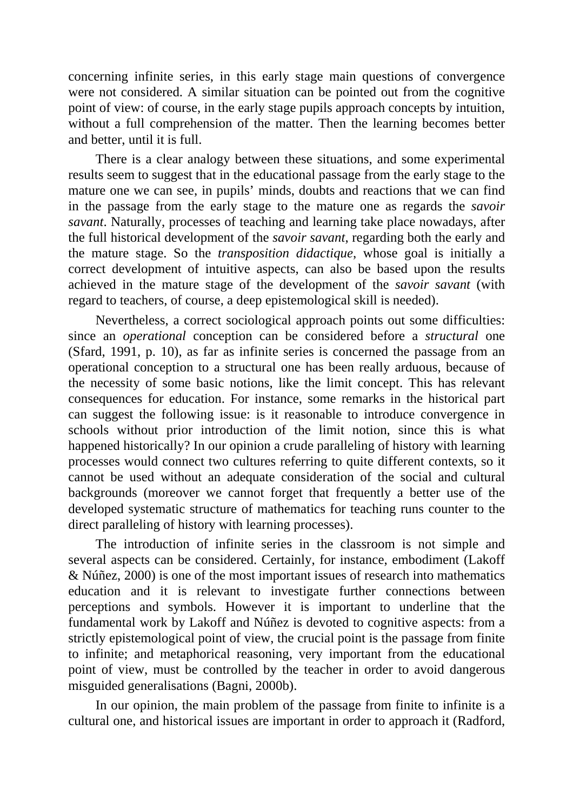concerning infinite series, in this early stage main questions of convergence were not considered. A similar situation can be pointed out from the cognitive point of view: of course, in the early stage pupils approach concepts by intuition, without a full comprehension of the matter. Then the learning becomes better and better, until it is full.

There is a clear analogy between these situations, and some experimental results seem to suggest that in the educational passage from the early stage to the mature one we can see, in pupils' minds, doubts and reactions that we can find in the passage from the early stage to the mature one as regards the *savoir savant*. Naturally, processes of teaching and learning take place nowadays, after the full historical development of the *savoir savant*, regarding both the early and the mature stage. So the *transposition didactique*, whose goal is initially a correct development of intuitive aspects, can also be based upon the results achieved in the mature stage of the development of the *savoir savant* (with regard to teachers, of course, a deep epistemological skill is needed).

Nevertheless, a correct sociological approach points out some difficulties: since an *operational* conception can be considered before a *structural* one (Sfard, 1991, p. 10), as far as infinite series is concerned the passage from an operational conception to a structural one has been really arduous, because of the necessity of some basic notions, like the limit concept. This has relevant consequences for education. For instance, some remarks in the historical part can suggest the following issue: is it reasonable to introduce convergence in schools without prior introduction of the limit notion, since this is what happened historically? In our opinion a crude paralleling of history with learning processes would connect two cultures referring to quite different contexts, so it cannot be used without an adequate consideration of the social and cultural backgrounds (moreover we cannot forget that frequently a better use of the developed systematic structure of mathematics for teaching runs counter to the direct paralleling of history with learning processes).

The introduction of infinite series in the classroom is not simple and several aspects can be considered. Certainly, for instance, embodiment (Lakoff & Núñez, 2000) is one of the most important issues of research into mathematics education and it is relevant to investigate further connections between perceptions and symbols. However it is important to underline that the fundamental work by Lakoff and Núñez is devoted to cognitive aspects: from a strictly epistemological point of view, the crucial point is the passage from finite to infinite; and metaphorical reasoning, very important from the educational point of view, must be controlled by the teacher in order to avoid dangerous misguided generalisations (Bagni, 2000b).

In our opinion, the main problem of the passage from finite to infinite is a cultural one, and historical issues are important in order to approach it (Radford,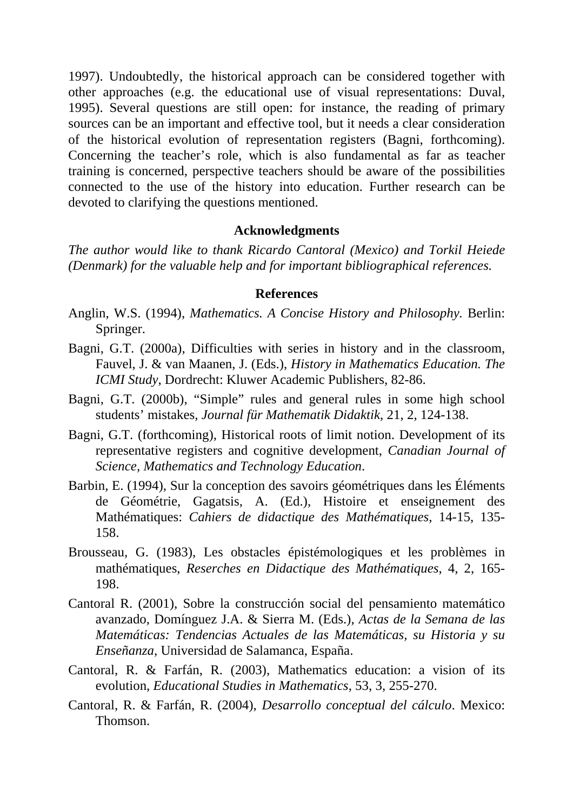1997). Undoubtedly, the historical approach can be considered together with other approaches (e.g. the educational use of visual representations: Duval, 1995). Several questions are still open: for instance, the reading of primary sources can be an important and effective tool, but it needs a clear consideration of the historical evolution of representation registers (Bagni, forthcoming). Concerning the teacher's role, which is also fundamental as far as teacher training is concerned, perspective teachers should be aware of the possibilities connected to the use of the history into education. Further research can be devoted to clarifying the questions mentioned.

### **Acknowledgments**

*The author would like to thank Ricardo Cantoral (Mexico) and Torkil Heiede (Denmark) for the valuable help and for important bibliographical references.* 

### **References**

- Anglin, W.S. (1994), *Mathematics. A Concise History and Philosophy.* Berlin: Springer.
- Bagni, G.T. (2000a), Difficulties with series in history and in the classroom, Fauvel, J. & van Maanen, J. (Eds.), *History in Mathematics Education. The ICMI Study*, Dordrecht: Kluwer Academic Publishers, 82-86.
- Bagni, G.T. (2000b), "Simple" rules and general rules in some high school students' mistakes, *Journal für Mathematik Didaktik*, 21, 2, 124-138.
- Bagni, G.T. (forthcoming), Historical roots of limit notion. Development of its representative registers and cognitive development, *Canadian Journal of Science, Mathematics and Technology Education*.
- Barbin, E. (1994), Sur la conception des savoirs géométriques dans les Éléments de Géométrie, Gagatsis, A. (Ed.), Histoire et enseignement des Mathématiques: *Cahiers de didactique des Mathématiques*, 14-15, 135- 158.
- Brousseau, G. (1983), Les obstacles épistémologiques et les problèmes in mathématiques, *Reserches en Didactique des Mathématiques*, 4, 2, 165- 198.
- Cantoral R. (2001), Sobre la construcción social del pensamiento matemático avanzado, Domínguez J.A. & Sierra M. (Eds.), *Actas de la Semana de las Matemáticas: Tendencias Actuales de las Matemáticas, su Historia y su Enseñanza*, Universidad de Salamanca, España.
- Cantoral, R. & Farfán, R. (2003), Mathematics education: a vision of its evolution, *Educational Studies in Mathematics*, 53, 3, 255-270.
- Cantoral, R. & Farfán, R. (2004), *Desarrollo conceptual del cálculo*. Mexico: Thomson.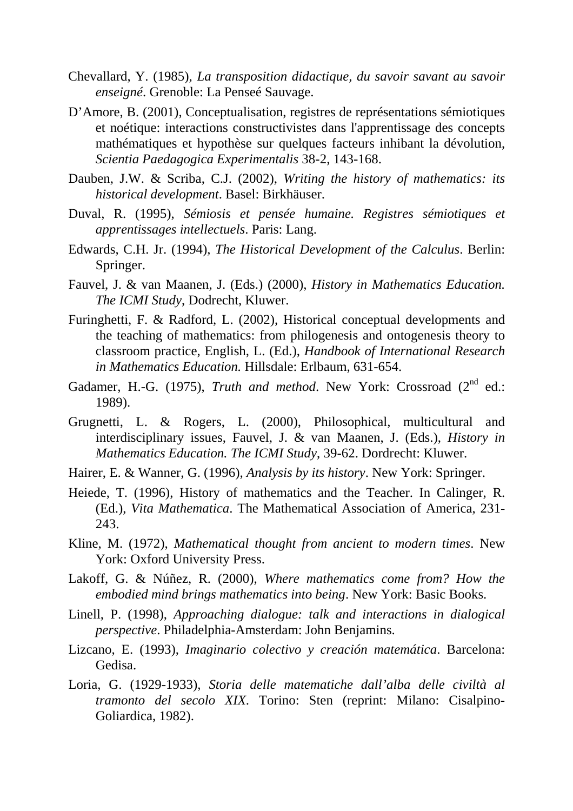- Chevallard, Y. (1985), *La transposition didactique, du savoir savant au savoir enseigné*. Grenoble: La Penseé Sauvage.
- D'Amore, B. (2001), Conceptualisation, registres de représentations sémiotiques et noétique: interactions constructivistes dans l'apprentissage des concepts mathématiques et hypothèse sur quelques facteurs inhibant la dévolution, *Scientia Paedagogica Experimentalis* 38-2, 143-168.
- Dauben, J.W. & Scriba, C.J. (2002), *Writing the history of mathematics: its historical development*. Basel: Birkhäuser.
- Duval, R. (1995), *Sémiosis et pensée humaine. Registres sémiotiques et apprentissages intellectuels*. Paris: Lang.
- Edwards, C.H. Jr. (1994), *The Historical Development of the Calculus*. Berlin: Springer.
- Fauvel, J. & van Maanen, J. (Eds.) (2000), *History in Mathematics Education. The ICMI Study*, Dodrecht, Kluwer.
- Furinghetti, F. & Radford, L. (2002), Historical conceptual developments and the teaching of mathematics: from philogenesis and ontogenesis theory to classroom practice, English, L. (Ed.), *Handbook of International Research in Mathematics Education.* Hillsdale: Erlbaum, 631-654.
- Gadamer, H.-G. (1975), *Truth and method*. New York: Crossroad (2<sup>nd</sup> ed.: 1989).
- Grugnetti, L. & Rogers, L. (2000), Philosophical, multicultural and interdisciplinary issues, Fauvel, J. & van Maanen, J. (Eds.), *History in Mathematics Education. The ICMI Study*, 39-62. Dordrecht: Kluwer.
- Hairer, E. & Wanner, G. (1996), *Analysis by its history*. New York: Springer.
- Heiede, T. (1996), History of mathematics and the Teacher. In Calinger, R. (Ed.), *Vita Mathematica*. The Mathematical Association of America, 231- 243.
- Kline, M. (1972), *Mathematical thought from ancient to modern times*. New York: Oxford University Press.
- Lakoff, G. & Núñez, R. (2000), *Where mathematics come from? How the embodied mind brings mathematics into being*. New York: Basic Books.
- Linell, P. (1998), *Approaching dialogue: talk and interactions in dialogical perspective*. Philadelphia-Amsterdam: John Benjamins.
- Lizcano, E. (1993), *Imaginario colectivo y creación matemática*. Barcelona: Gedisa.
- Loria, G. (1929-1933), *Storia delle matematiche dall'alba delle civiltà al tramonto del secolo XIX*. Torino: Sten (reprint: Milano: Cisalpino-Goliardica, 1982).